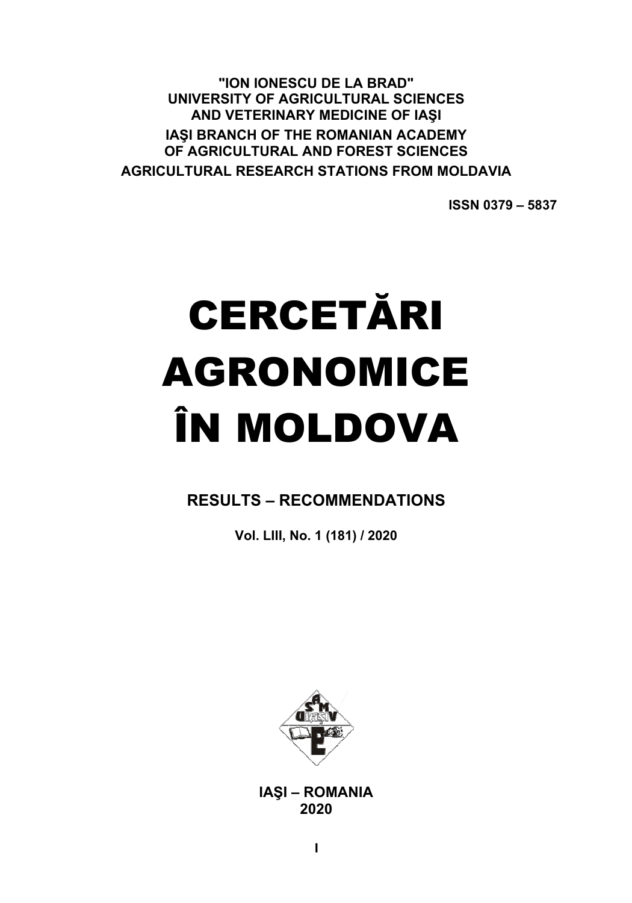"ION IONESCU DE LA BRAD" UNIVERSITY OF AGRICULTURAL SCIENCES AND VETERINARY MEDICINE OF IASI IASI BRANCH OF THE ROMANIAN ACADEMY OF AGRICULTURAL AND FOREST SCIENCES **AGRICULTURAL RESEARCH STATIONS FROM MOLDAVIA** 

**ISSN 0379-5837** 

# **CERCETĂRI AGRONOMICE** ÎN MOLDOVA

**RESULTS - RECOMMENDATIONS** 

Vol. LIII, No. 1 (181) / 2020



**IASI - ROMANIA** 2020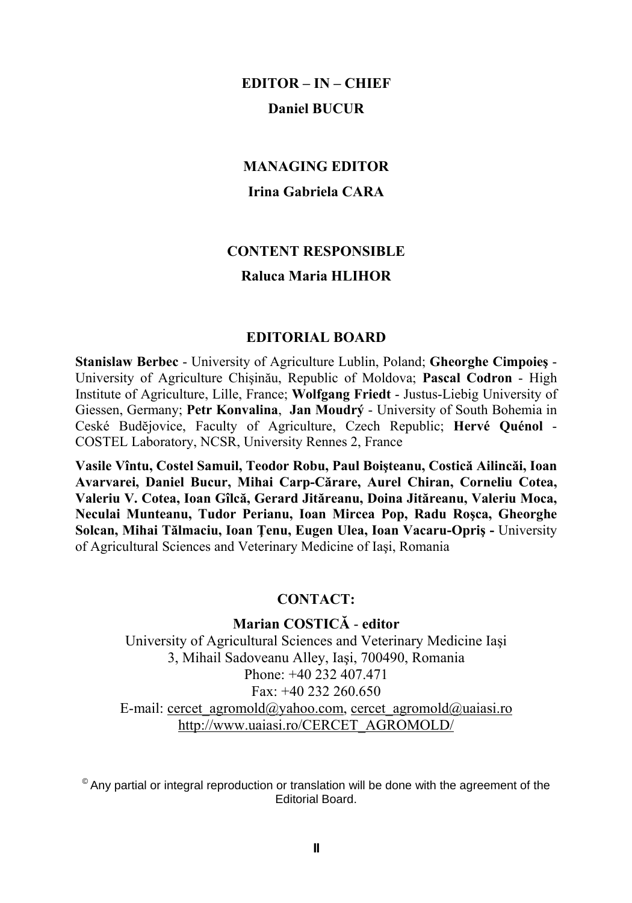# **EDITOR – IN – CHIEF Daniel BUCUR**

# **MANAGING EDITOR Irina Gabriela CARA**

# **CONTENT RESPONSIBLE Raluca Maria HLIHOR**

#### **EDITORIAL BOARD**

**Stanislaw Berbec** - University of Agriculture Lublin, Poland; **Gheorghe Cimpoieş** - University of Agriculture Chişinău, Republic of Moldova; **Pascal Codron** - High Institute of Agriculture, Lille, France; **Wolfgang Friedt** - Justus-Liebig University of Giessen, Germany; **Petr Konvalina**, **Jan Moudrý** - University of South Bohemia in Ceské Budĕjovice, Faculty of Agriculture, Czech Republic; **Hervé Quénol** - COSTEL Laboratory, NCSR, University Rennes 2, France

**Vasile Vîntu, Costel Samuil, Teodor Robu, Paul Boişteanu, Costică Ailincăi, Ioan Avarvarei, Daniel Bucur, Mihai Carp-Cărare, Aurel Chiran, Corneliu Cotea, Valeriu V. Cotea, Ioan Gîlcă, Gerard Jităreanu, Doina Jităreanu, Valeriu Moca, Neculai Munteanu, Tudor Perianu, Ioan Mircea Pop, Radu Roşca, Gheorghe Solcan, Mihai Tălmaciu, Ioan Ţenu, Eugen Ulea, Ioan Vacaru-Opriş -** University of Agricultural Sciences and Veterinary Medicine of Iaşi, Romania

#### **CONTACT:**

**Marian COSTICĂ** - **editor** University of Agricultural Sciences and Veterinary Medicine Iaşi 3, Mihail Sadoveanu Alley, Iaşi, 700490, Romania Phone:  $+40, 232, 407, 471$ Fax: +40 232 260.650 E-mail: cercet\_agromold@yahoo.com, cercet\_agromold@uaiasi.ro http://www.uaiasi.ro/CERCET\_AGROMOLD/

 $^{\circ}$  Anv partial or integral reproduction or translation will be done with the agreement of the Editorial Board.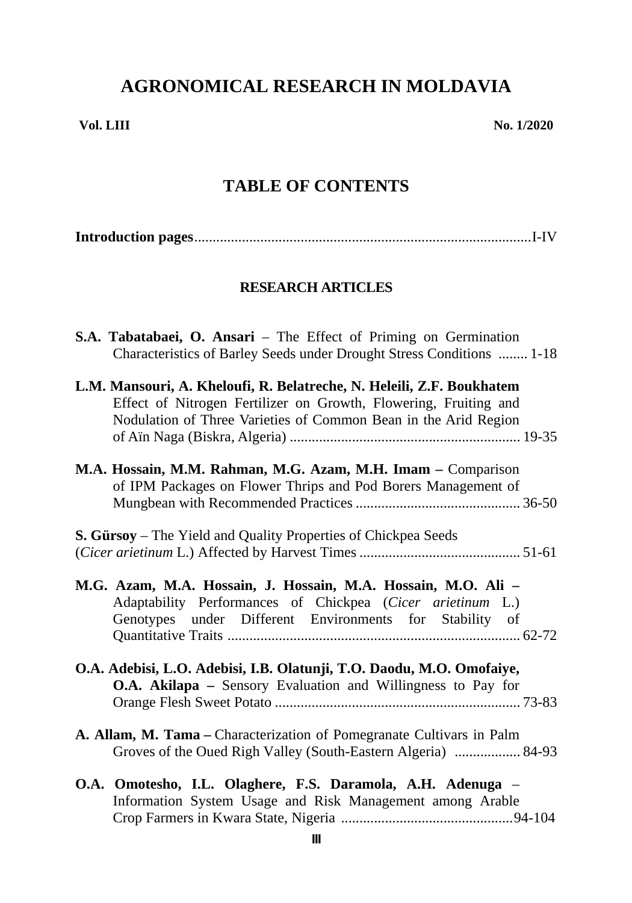# **AGRONOMICAL RESEARCH IN MOLDAVIA**

**Vol. LIII No. 1/2020**

# **TABLE OF CONTENTS**

|--|--|--|--|

## **RESEARCH ARTICLES**

| S.A. Tabatabaei, O. Ansari – The Effect of Priming on Germination<br>Characteristics of Barley Seeds under Drought Stress Conditions  1-18                                                                   |
|--------------------------------------------------------------------------------------------------------------------------------------------------------------------------------------------------------------|
| L.M. Mansouri, A. Kheloufi, R. Belatreche, N. Heleili, Z.F. Boukhatem<br>Effect of Nitrogen Fertilizer on Growth, Flowering, Fruiting and<br>Nodulation of Three Varieties of Common Bean in the Arid Region |
| M.A. Hossain, M.M. Rahman, M.G. Azam, M.H. Imam - Comparison<br>of IPM Packages on Flower Thrips and Pod Borers Management of                                                                                |
| S. Gürsoy – The Yield and Quality Properties of Chickpea Seeds                                                                                                                                               |
| M.G. Azam, M.A. Hossain, J. Hossain, M.A. Hossain, M.O. Ali -<br>Adaptability Performances of Chickpea (Cicer arietinum L.)<br>Genotypes under Different Environments for Stability of                       |
| O.A. Adebisi, L.O. Adebisi, I.B. Olatunji, T.O. Daodu, M.O. Omofaiye,<br>O.A. Akilapa - Sensory Evaluation and Willingness to Pay for                                                                        |
| A. Allam, M. Tama – Characterization of Pomegranate Cultivars in Palm<br>Groves of the Oued Righ Valley (South-Eastern Algeria)  84-93                                                                       |
| O.A. Omotesho, I.L. Olaghere, F.S. Daramola, A.H. Adenuga -<br>Information System Usage and Risk Management among Arable                                                                                     |